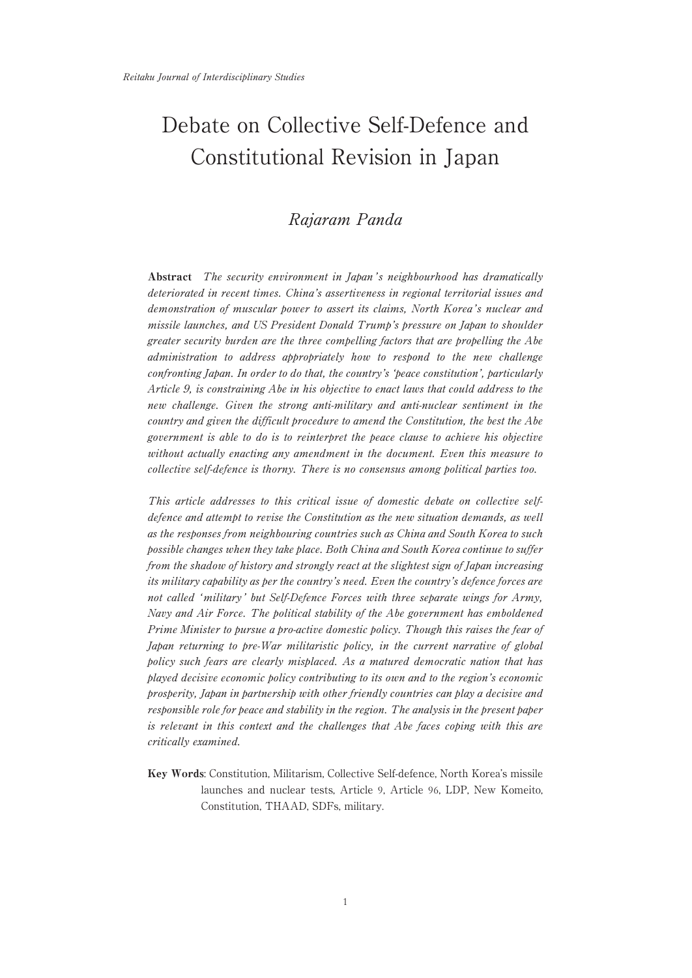# Debate on Collective Self-Defence and Constitutional Revision in Japan

# Rajaram Panda

Abstract The security environment in Japan's neighbourhood has dramatically deteriorated in recent times. China's assertiveness in regional territorial issues and demonstration of muscular power to assert its claims, North Korea's nuclear and missile launches, and US President Donald Trump's pressure on Japan to shoulder greater security burden are the three compelling factors that are propelling the Abe administration to address appropriately how to respond to the new challenge confronting Japan. In order to do that, the country's 'peace constitution', particularly Article 9, is constraining Abe in his objective to enact laws that could address to the new challenge. Given the strong anti-military and anti-nuclear sentiment in the country and given the difficult procedure to amend the Constitution, the best the Abe government is able to do is to reinterpret the peace clause to achieve his objective without actually enacting any amendment in the document. Even this measure to collective self-defence is thorny. There is no consensus among political parties too.

This article addresses to this critical issue of domestic debate on collective selfdefence and attempt to revise the Constitution as the new situation demands, as well as the responses from neighbouring countries such as China and South Korea to such possible changes when they take place. Both China and South Korea continue to suffer from the shadow of history and strongly react at the slightest sign of Japan increasing its military capability as per the country's need. Even the country's defence forces are not called 'military ' but Self-Defence Forces with three separate wings for Army, Navy and Air Force. The political stability of the Abe government has emboldened Prime Minister to pursue a pro-active domestic policy. Though this raises the fear of Japan returning to pre-War militaristic policy, in the current narrative of global policy such fears are clearly misplaced. As a matured democratic nation that has played decisive economic policy contributing to its own and to the region's economic prosperity, Japan in partnership with other friendly countries can play a decisive and responsible role for peace and stability in the region. The analysis in the present paper is relevant in this context and the challenges that Abe faces coping with this are critically examined.

Key Words: Constitution, Militarism, Collective Self-defence, North Korea's missile launches and nuclear tests, Article 9, Article 96, LDP, New Komeito, Constitution, THAAD, SDFs, military.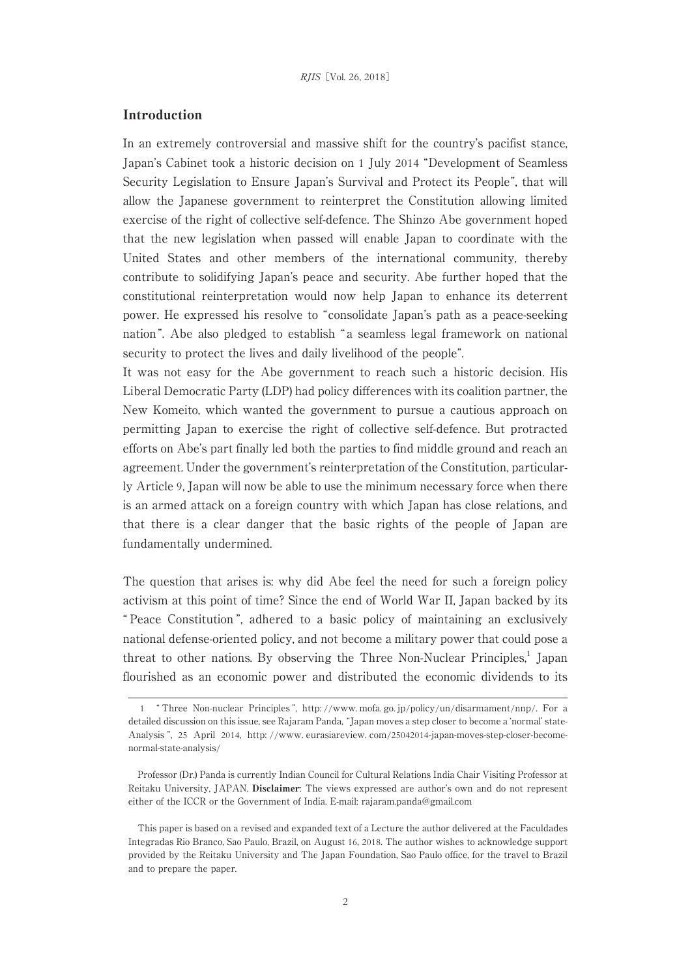## Introduction

In an extremely controversial and massive shift for the country's pacifist stance, Japan's Cabinet took a historic decision on 1 July 2014 "Development of Seamless Security Legislation to Ensure Japan's Survival and Protect its People", that will allow the Japanese government to reinterpret the Constitution allowing limited exercise of the right of collective self-defence. The Shinzo Abe government hoped that the new legislation when passed will enable Japan to coordinate with the United States and other members of the international community, thereby contribute to solidifying Japan's peace and security. Abe further hoped that the constitutional reinterpretation would now help Japan to enhance its deterrent power. He expressed his resolve to "consolidate Japan's path as a peace-seeking nation ". Abe also pledged to establish " a seamless legal framework on national security to protect the lives and daily livelihood of the people".

It was not easy for the Abe government to reach such a historic decision. His Liberal Democratic Party (LDP) had policy differences with its coalition partner, the New Komeito, which wanted the government to pursue a cautious approach on permitting Japan to exercise the right of collective self-defence. But protracted efforts on Abe's part finally led both the parties to find middle ground and reach an agreement. Under the government's reinterpretation of the Constitution, particularly Article 9, Japan will now be able to use the minimum necessary force when there is an armed attack on a foreign country with which Japan has close relations, and that there is a clear danger that the basic rights of the people of Japan are fundamentally undermined.

The question that arises is: why did Abe feel the need for such a foreign policy activism at this point of time? Since the end of World War II, Japan backed by its " Peace Constitution ", adhered to a basic policy of maintaining an exclusively national defense-oriented policy, and not become a military power that could pose a threat to other nations. By observing the Three Non-Nuclear Principles,<sup>1</sup> Japan flourished as an economic power and distributed the economic dividends to its

<sup>1</sup> " Three Non-nuclear Principles ", http: //www. mofa. go. jp/policy/un/disarmament/nnp/. For a detailed discussion on this issue, see Rajaram Panda, "Japan moves a step closer to become a ʻnormal' state-Analysis ", 25 April 2014, http: //www. eurasiareview. com/25042014-japan-moves-step-closer-becomenormal-state-analysis/

Professor (Dr.) Panda is currently Indian Council for Cultural Relations India Chair Visiting Professor at Reitaku University, JAPAN. Disclaimer: The views expressed are author's own and do not represent either of the ICCR or the Government of India. E-mail: rajaram.panda@gmail.com

This paper is based on a revised and expanded text of a Lecture the author delivered at the Faculdades Integradas Rio Branco, Sao Paulo, Brazil, on August 16, 2018. The author wishes to acknowledge support provided by the Reitaku University and The Japan Foundation, Sao Paulo office, for the travel to Brazil and to prepare the paper.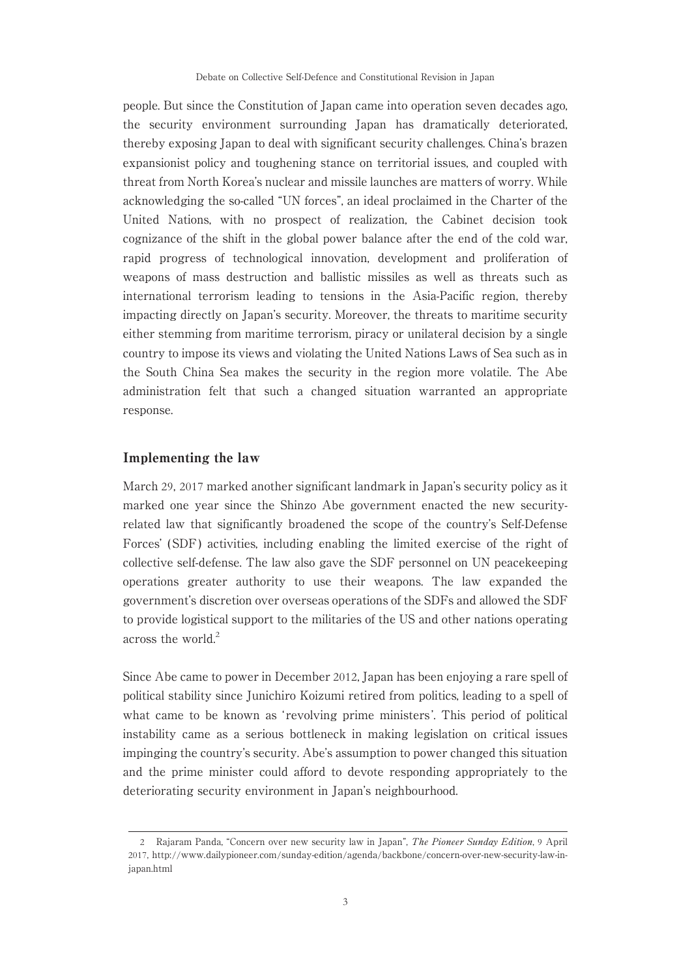people. But since the Constitution of Japan came into operation seven decades ago, the security environment surrounding Japan has dramatically deteriorated, thereby exposing Japan to deal with significant security challenges. China's brazen expansionist policy and toughening stance on territorial issues, and coupled with threat from North Korea's nuclear and missile launches are matters of worry. While acknowledging the so-called "UN forces", an ideal proclaimed in the Charter of the United Nations, with no prospect of realization, the Cabinet decision took cognizance of the shift in the global power balance after the end of the cold war, rapid progress of technological innovation, development and proliferation of weapons of mass destruction and ballistic missiles as well as threats such as international terrorism leading to tensions in the Asia-Pacific region, thereby impacting directly on Japan's security. Moreover, the threats to maritime security either stemming from maritime terrorism, piracy or unilateral decision by a single country to impose its views and violating the United Nations Laws of Sea such as in the South China Sea makes the security in the region more volatile. The Abe administration felt that such a changed situation warranted an appropriate response.

#### Implementing the law

March 29, 2017 marked another significant landmark in Japan's security policy as it marked one year since the Shinzo Abe government enacted the new securityrelated law that significantly broadened the scope of the country's Self-Defense Forces' (SDF) activities, including enabling the limited exercise of the right of collective self-defense. The law also gave the SDF personnel on UN peacekeeping operations greater authority to use their weapons. The law expanded the government's discretion over overseas operations of the SDFs and allowed the SDF to provide logistical support to the militaries of the US and other nations operating across the world. $2$ 

Since Abe came to power in December 2012, Japan has been enjoying a rare spell of political stability since Junichiro Koizumi retired from politics, leading to a spell of what came to be known as 'revolving prime ministers'. This period of political instability came as a serious bottleneck in making legislation on critical issues impinging the country's security. Abe's assumption to power changed this situation and the prime minister could afford to devote responding appropriately to the deteriorating security environment in Japan's neighbourhood.

<sup>2</sup> Rajaram Panda, "Concern over new security law in Japan", The Pioneer Sunday Edition, 9 April 2017, http://www.dailypioneer.com/sunday-edition/agenda/backbone/concern-over-new-security-law-injapan.html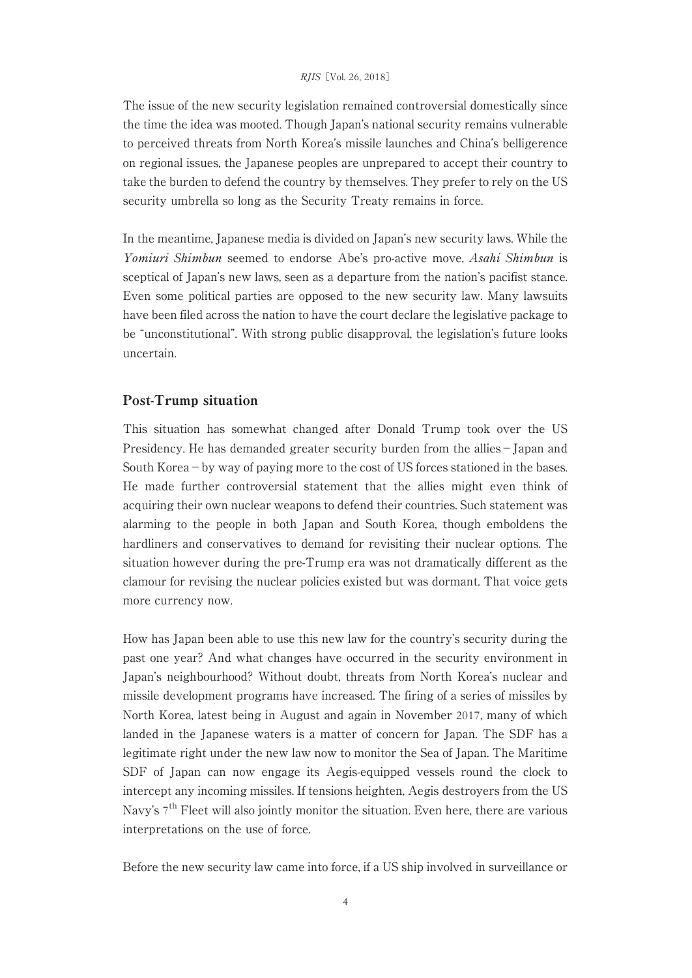The issue of the new security legislation remained controversial domestically since the time the idea was mooted. Though Japan's national security remains vulnerable to perceived threats from North Korea's missile launches and China's belligerence on regional issues, the Japanese peoples are unprepared to accept their country to take the burden to defend the country by themselves. They prefer to rely on the US security umbrella so long as the Security Treaty remains in force.

In the meantime, Japanese media is divided on Japan's new security laws. While the Yomiuri Shimbun seemed to endorse Abe's pro-active move, Asahi Shimbun is sceptical of Japan's new laws, seen as a departure from the nation's pacifist stance. Even some political parties are opposed to the new security law. Many lawsuits have been filed across the nation to have the court declare the legislative package to be "unconstitutional". With strong public disapproval, the legislation's future looks uncertain.

## Post-Trump situation

This situation has somewhat changed after Donald Trump took over the US Presidency. He has demanded greater security burden from the allies−Japan and South Korea−by way of paying more to the cost of US forces stationed in the bases. He made further controversial statement that the allies might even think of acquiring their own nuclear weapons to defend their countries. Such statement was alarming to the people in both Japan and South Korea, though emboldens the hardliners and conservatives to demand for revisiting their nuclear options. The situation however during the pre-Trump era was not dramatically different as the clamour for revising the nuclear policies existed but was dormant. That voice gets more currency now.

How has Japan been able to use this new law for the country's security during the past one year? And what changes have occurred in the security environment in Japan's neighbourhood? Without doubt, threats from North Korea's nuclear and missile development programs have increased. The firing of a series of missiles by North Korea, latest being in August and again in November 2017, many of which landed in the Japanese waters is a matter of concern for Japan. The SDF has a legitimate right under the new law now to monitor the Sea of Japan. The Maritime SDF of Japan can now engage its Aegis-equipped vessels round the clock to intercept any incoming missiles. If tensions heighten, Aegis destroyers from the US Navy's  $7<sup>th</sup>$  Fleet will also jointly monitor the situation. Even here, there are various interpretations on the use of force.

Before the new security law came into force, if a US ship involved in surveillance or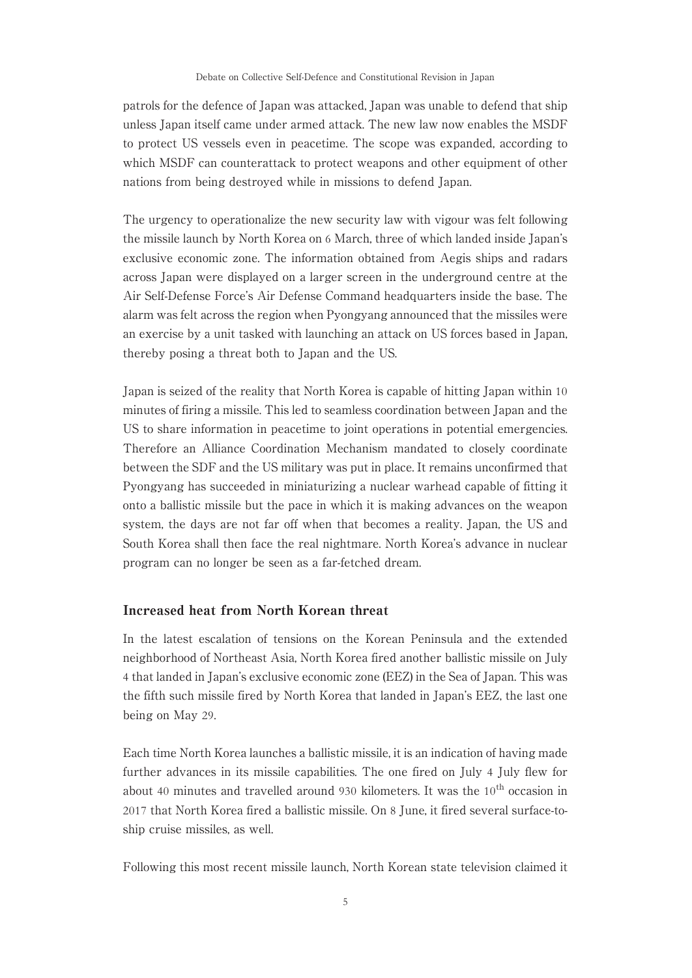patrols for the defence of Japan was attacked, Japan was unable to defend that ship unless Japan itself came under armed attack. The new law now enables the MSDF to protect US vessels even in peacetime. The scope was expanded, according to which MSDF can counterattack to protect weapons and other equipment of other nations from being destroyed while in missions to defend Japan.

The urgency to operationalize the new security law with vigour was felt following the missile launch by North Korea on 6 March, three of which landed inside Japan's exclusive economic zone. The information obtained from Aegis ships and radars across Japan were displayed on a larger screen in the underground centre at the Air Self-Defense Force's Air Defense Command headquarters inside the base. The alarm was felt across the region when Pyongyang announced that the missiles were an exercise by a unit tasked with launching an attack on US forces based in Japan, thereby posing a threat both to Japan and the US.

Japan is seized of the reality that North Korea is capable of hitting Japan within 10 minutes of firing a missile. This led to seamless coordination between Japan and the US to share information in peacetime to joint operations in potential emergencies. Therefore an Alliance Coordination Mechanism mandated to closely coordinate between the SDF and the US military was put in place. It remains unconfirmed that Pyongyang has succeeded in miniaturizing a nuclear warhead capable of fitting it onto a ballistic missile but the pace in which it is making advances on the weapon system, the days are not far off when that becomes a reality. Japan, the US and South Korea shall then face the real nightmare. North Korea's advance in nuclear program can no longer be seen as a far-fetched dream.

## Increased heat from North Korean threat

In the latest escalation of tensions on the Korean Peninsula and the extended neighborhood of Northeast Asia, North Korea fired another ballistic missile on July 4 that landed in Japan's exclusive economic zone (EEZ) in the Sea of Japan. This was the fifth such missile fired by North Korea that landed in Japan's EEZ, the last one being on May 29.

Each time North Korea launches a ballistic missile, it is an indication of having made further advances in its missile capabilities. The one fired on July 4 July flew for about 40 minutes and travelled around 930 kilometers. It was the  $10<sup>th</sup>$  occasion in 2017 that North Korea fired a ballistic missile. On 8 June, it fired several surface-toship cruise missiles, as well.

Following this most recent missile launch, North Korean state television claimed it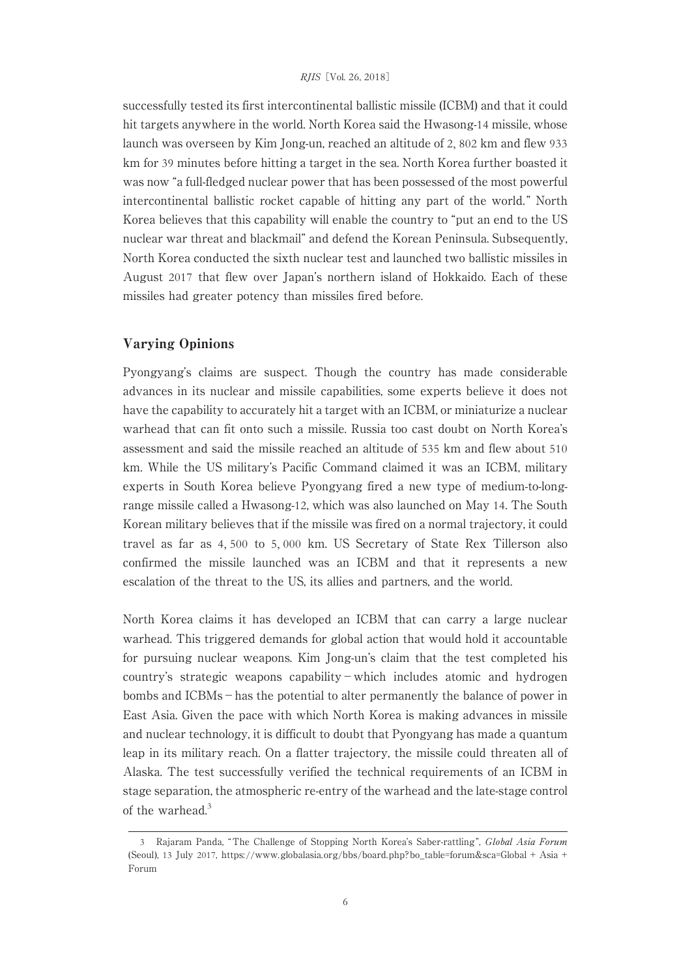successfully tested its first intercontinental ballistic missile (ICBM) and that it could hit targets anywhere in the world. North Korea said the Hwasong-14 missile, whose launch was overseen by Kim Jong-un, reached an altitude of 2, 802 km and flew 933 km for 39 minutes before hitting a target in the sea. North Korea further boasted it was now "a full-fledged nuclear power that has been possessed of the most powerful intercontinental ballistic rocket capable of hitting any part of the world. " North Korea believes that this capability will enable the country to "put an end to the US nuclear war threat and blackmail" and defend the Korean Peninsula. Subsequently, North Korea conducted the sixth nuclear test and launched two ballistic missiles in August 2017 that flew over Japan's northern island of Hokkaido. Each of these missiles had greater potency than missiles fired before.

## Varying Opinions

Pyongyang's claims are suspect. Though the country has made considerable advances in its nuclear and missile capabilities, some experts believe it does not have the capability to accurately hit a target with an ICBM, or miniaturize a nuclear warhead that can fit onto such a missile. Russia too cast doubt on North Korea's assessment and said the missile reached an altitude of 535 km and flew about 510 km. While the US military's Pacific Command claimed it was an ICBM, military experts in South Korea believe Pyongyang fired a new type of medium-to-longrange missile called a Hwasong-12, which was also launched on May 14. The South Korean military believes that if the missile was fired on a normal trajectory, it could travel as far as 4, 500 to 5, 000 km. US Secretary of State Rex Tillerson also confirmed the missile launched was an ICBM and that it represents a new escalation of the threat to the US, its allies and partners, and the world.

North Korea claims it has developed an ICBM that can carry a large nuclear warhead. This triggered demands for global action that would hold it accountable for pursuing nuclear weapons. Kim Jong-un's claim that the test completed his country's strategic weapons capability−which includes atomic and hydrogen bombs and ICBMs−has the potential to alter permanently the balance of power in East Asia. Given the pace with which North Korea is making advances in missile and nuclear technology, it is difficult to doubt that Pyongyang has made a quantum leap in its military reach. On a flatter trajectory, the missile could threaten all of Alaska. The test successfully verified the technical requirements of an ICBM in stage separation, the atmospheric re-entry of the warhead and the late-stage control of the warhead.<sup>3</sup>

<sup>3</sup> Rajaram Panda, "The Challenge of Stopping North Korea's Saber-rattling ", Global Asia Forum (Seoul), 13 July 2017, https://www.globalasia.org/bbs/board.php?bo\_table=forum&sca=Global + Asia + Forum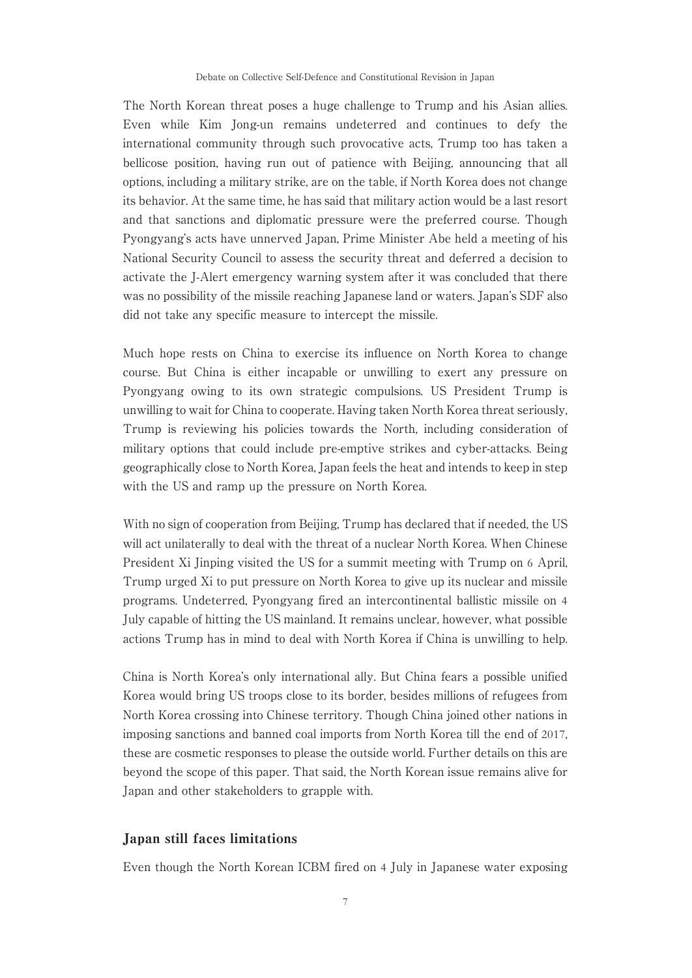The North Korean threat poses a huge challenge to Trump and his Asian allies. Even while Kim Jong-un remains undeterred and continues to defy the international community through such provocative acts, Trump too has taken a bellicose position, having run out of patience with Beijing, announcing that all options, including a military strike, are on the table, if North Korea does not change its behavior. At the same time, he has said that military action would be a last resort and that sanctions and diplomatic pressure were the preferred course. Though Pyongyang's acts have unnerved Japan, Prime Minister Abe held a meeting of his National Security Council to assess the security threat and deferred a decision to activate the J-Alert emergency warning system after it was concluded that there was no possibility of the missile reaching Japanese land or waters. Japan's SDF also did not take any specific measure to intercept the missile.

Much hope rests on China to exercise its influence on North Korea to change course. But China is either incapable or unwilling to exert any pressure on Pyongyang owing to its own strategic compulsions. US President Trump is unwilling to wait for China to cooperate. Having taken North Korea threat seriously, Trump is reviewing his policies towards the North, including consideration of military options that could include pre-emptive strikes and cyber-attacks. Being geographically close to North Korea, Japan feels the heat and intends to keep in step with the US and ramp up the pressure on North Korea.

With no sign of cooperation from Beijing, Trump has declared that if needed, the US will act unilaterally to deal with the threat of a nuclear North Korea. When Chinese President Xi Jinping visited the US for a summit meeting with Trump on 6 April, Trump urged Xi to put pressure on North Korea to give up its nuclear and missile programs. Undeterred, Pyongyang fired an intercontinental ballistic missile on 4 July capable of hitting the US mainland. It remains unclear, however, what possible actions Trump has in mind to deal with North Korea if China is unwilling to help.

China is North Korea's only international ally. But China fears a possible unified Korea would bring US troops close to its border, besides millions of refugees from North Korea crossing into Chinese territory. Though China joined other nations in imposing sanctions and banned coal imports from North Korea till the end of 2017, these are cosmetic responses to please the outside world. Further details on this are beyond the scope of this paper. That said, the North Korean issue remains alive for Japan and other stakeholders to grapple with.

#### Japan still faces limitations

Even though the North Korean ICBM fired on 4 July in Japanese water exposing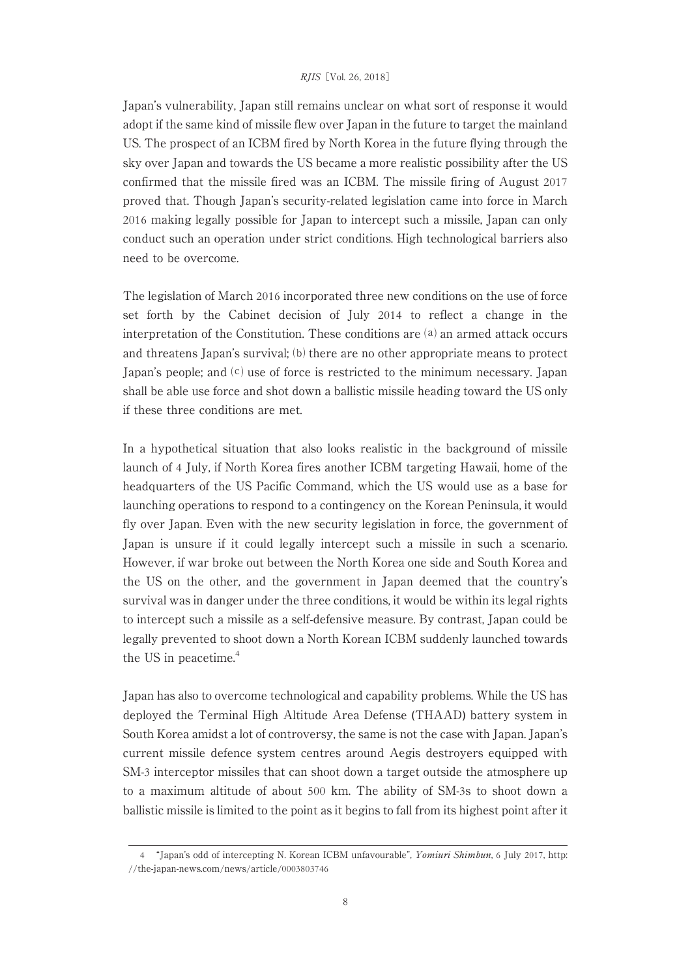Japan's vulnerability, Japan still remains unclear on what sort of response it would adopt if the same kind of missile flew over Japan in the future to target the mainland US. The prospect of an ICBM fired by North Korea in the future flying through the sky over Japan and towards the US became a more realistic possibility after the US confirmed that the missile fired was an ICBM. The missile firing of August 2017 proved that. Though Japan's security-related legislation came into force in March 2016 making legally possible for Japan to intercept such a missile, Japan can only conduct such an operation under strict conditions. High technological barriers also need to be overcome.

The legislation of March 2016 incorporated three new conditions on the use of force set forth by the Cabinet decision of July 2014 to reflect a change in the interpretation of the Constitution. These conditions are  $(a)$  an armed attack occurs and threatens Japan's survival; (b) there are no other appropriate means to protect Japan's people; and  $(c)$  use of force is restricted to the minimum necessary. Japan shall be able use force and shot down a ballistic missile heading toward the US only if these three conditions are met.

In a hypothetical situation that also looks realistic in the background of missile launch of 4 July, if North Korea fires another ICBM targeting Hawaii, home of the headquarters of the US Pacific Command, which the US would use as a base for launching operations to respond to a contingency on the Korean Peninsula, it would fly over Japan. Even with the new security legislation in force, the government of Japan is unsure if it could legally intercept such a missile in such a scenario. However, if war broke out between the North Korea one side and South Korea and the US on the other, and the government in Japan deemed that the country's survival was in danger under the three conditions, it would be within its legal rights to intercept such a missile as a self-defensive measure. By contrast, Japan could be legally prevented to shoot down a North Korean ICBM suddenly launched towards the US in peacetime.<sup>4</sup>

Japan has also to overcome technological and capability problems. While the US has deployed the Terminal High Altitude Area Defense (THAAD) battery system in South Korea amidst a lot of controversy, the same is not the case with Japan. Japan's current missile defence system centres around Aegis destroyers equipped with SM-3 interceptor missiles that can shoot down a target outside the atmosphere up to a maximum altitude of about 500 km. The ability of SM-3s to shoot down a ballistic missile is limited to the point as it begins to fall from its highest point after it

<sup>4</sup> "Japan's odd of intercepting N. Korean ICBM unfavourable", Yomiuri Shimbun, 6 July 2017, http: //the-japan-news.com/news/article/0003803746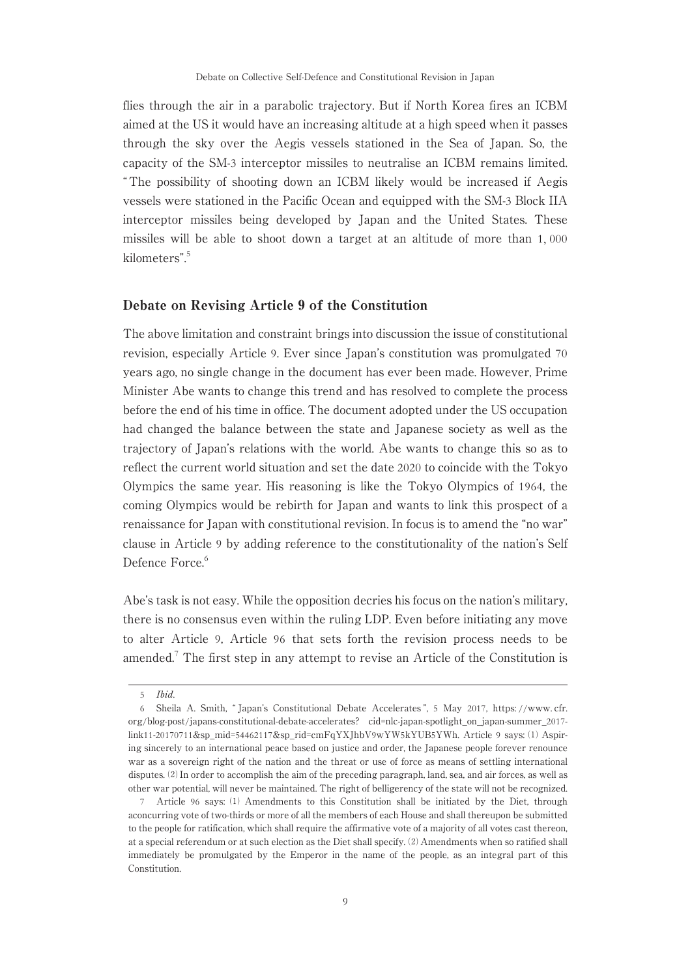flies through the air in a parabolic trajectory. But if North Korea fires an ICBM aimed at the US it would have an increasing altitude at a high speed when it passes through the sky over the Aegis vessels stationed in the Sea of Japan. So, the capacity of the SM-3 interceptor missiles to neutralise an ICBM remains limited. " The possibility of shooting down an ICBM likely would be increased if Aegis vessels were stationed in the Pacific Ocean and equipped with the SM-3 Block IIA interceptor missiles being developed by Japan and the United States. These missiles will be able to shoot down a target at an altitude of more than 1, 000 kilometers".<sup>5</sup>

#### Debate on Revising Article 9 of the Constitution

The above limitation and constraint brings into discussion the issue of constitutional revision, especially Article 9. Ever since Japan's constitution was promulgated 70 years ago, no single change in the document has ever been made. However, Prime Minister Abe wants to change this trend and has resolved to complete the process before the end of his time in office. The document adopted under the US occupation had changed the balance between the state and Japanese society as well as the trajectory of Japan's relations with the world. Abe wants to change this so as to reflect the current world situation and set the date 2020 to coincide with the Tokyo Olympics the same year. His reasoning is like the Tokyo Olympics of 1964, the coming Olympics would be rebirth for Japan and wants to link this prospect of a renaissance for Japan with constitutional revision. In focus is to amend the "no war" clause in Article 9 by adding reference to the constitutionality of the nation's Self Defence Force.<sup>6</sup>

Abe's task is not easy. While the opposition decries his focus on the nation's military, there is no consensus even within the ruling LDP. Even before initiating any move to alter Article 9, Article 96 that sets forth the revision process needs to be amended.<sup>7</sup> The first step in any attempt to revise an Article of the Constitution is

<sup>5</sup> Ibid.

<sup>6</sup> Sheila A. Smith, " Japan's Constitutional Debate Accelerates ", 5 May 2017, https: //www. cfr. org/blog-post/japans-constitutional-debate-accelerates? cid=nlc-japan-spotlight\_on\_japan-summer\_2017 link11-20170711&sp\_mid=54462117&sp\_rid=cmFqYXJhbV9wYW5kYUB5YWh. Article 9 says: ⑴ Aspiring sincerely to an international peace based on justice and order, the Japanese people forever renounce war as a sovereign right of the nation and the threat or use of force as means of settling international disputes. ⑵ In order to accomplish the aim of the preceding paragraph, land, sea, and air forces, as well as other war potential, will never be maintained. The right of belligerency of the state will not be recognized.

<sup>7</sup> Article 96 says: ⑴ Amendments to this Constitution shall be initiated by the Diet, through aconcurring vote of two-thirds or more of all the members of each House and shall thereupon be submitted to the people for ratification, which shall require the affirmative vote of a majority of all votes cast thereon, at a special referendum or at such election as the Diet shall specify. ⑵ Amendments when so ratified shall immediately be promulgated by the Emperor in the name of the people, as an integral part of this Constitution.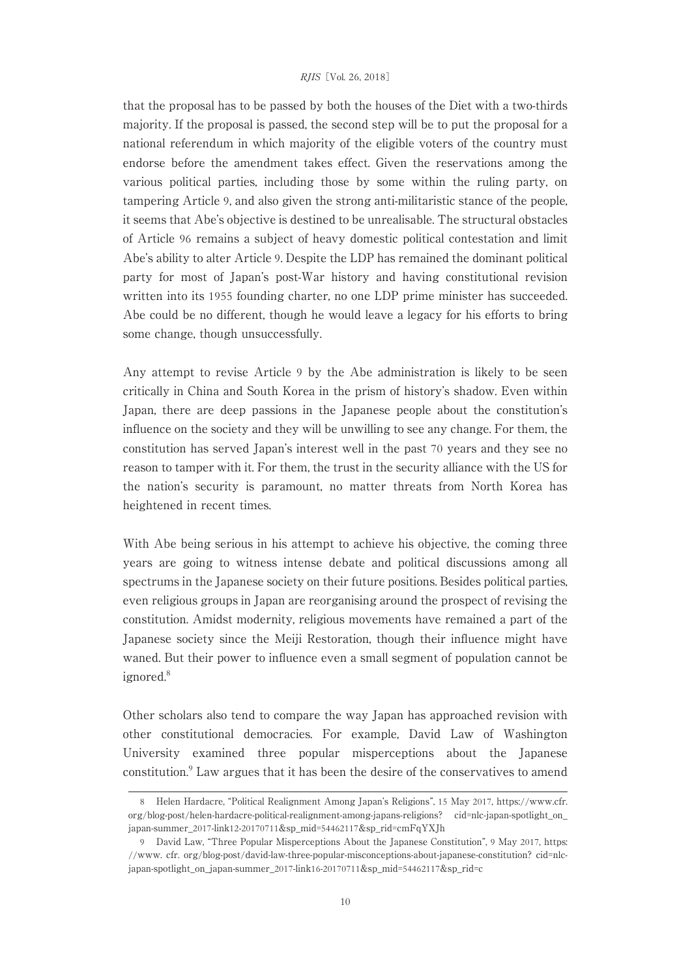that the proposal has to be passed by both the houses of the Diet with a two-thirds majority. If the proposal is passed, the second step will be to put the proposal for a national referendum in which majority of the eligible voters of the country must endorse before the amendment takes effect. Given the reservations among the various political parties, including those by some within the ruling party, on tampering Article 9, and also given the strong anti-militaristic stance of the people, it seems that Abe's objective is destined to be unrealisable. The structural obstacles of Article 96 remains a subject of heavy domestic political contestation and limit Abe's ability to alter Article 9. Despite the LDP has remained the dominant political party for most of Japan's post-War history and having constitutional revision written into its 1955 founding charter, no one LDP prime minister has succeeded. Abe could be no different, though he would leave a legacy for his efforts to bring some change, though unsuccessfully.

Any attempt to revise Article 9 by the Abe administration is likely to be seen critically in China and South Korea in the prism of history's shadow. Even within Japan, there are deep passions in the Japanese people about the constitution's influence on the society and they will be unwilling to see any change. For them, the constitution has served Japan's interest well in the past 70 years and they see no reason to tamper with it. For them, the trust in the security alliance with the US for the nation's security is paramount, no matter threats from North Korea has heightened in recent times.

With Abe being serious in his attempt to achieve his objective, the coming three years are going to witness intense debate and political discussions among all spectrums in the Japanese society on their future positions. Besides political parties, even religious groups in Japan are reorganising around the prospect of revising the constitution. Amidst modernity, religious movements have remained a part of the Japanese society since the Meiji Restoration, though their influence might have waned. But their power to influence even a small segment of population cannot be ignored.<sup>8</sup>

Other scholars also tend to compare the way Japan has approached revision with other constitutional democracies. For example, David Law of Washington University examined three popular misperceptions about the Japanese constitution.<sup>9</sup> Law argues that it has been the desire of the conservatives to amend

<sup>8</sup> Helen Hardacre, "Political Realignment Among Japan's Religions", 15 May 2017, https://www.cfr. org/blog-post/helen-hardacre-political-realignment-among-japans-religions? cid=nlc-japan-spotlight\_on\_ japan-summer\_2017-link12-20170711&sp\_mid=54462117&sp\_rid=cmFqYXJh

<sup>9</sup> David Law, "Three Popular Misperceptions About the Japanese Constitution", 9 May 2017, https: //www. cfr. org/blog-post/david-law-three-popular-misconceptions-about-japanese-constitution? cid=nlcjapan-spotlight\_on\_japan-summer\_2017-link16-20170711&sp\_mid=54462117&sp\_rid=c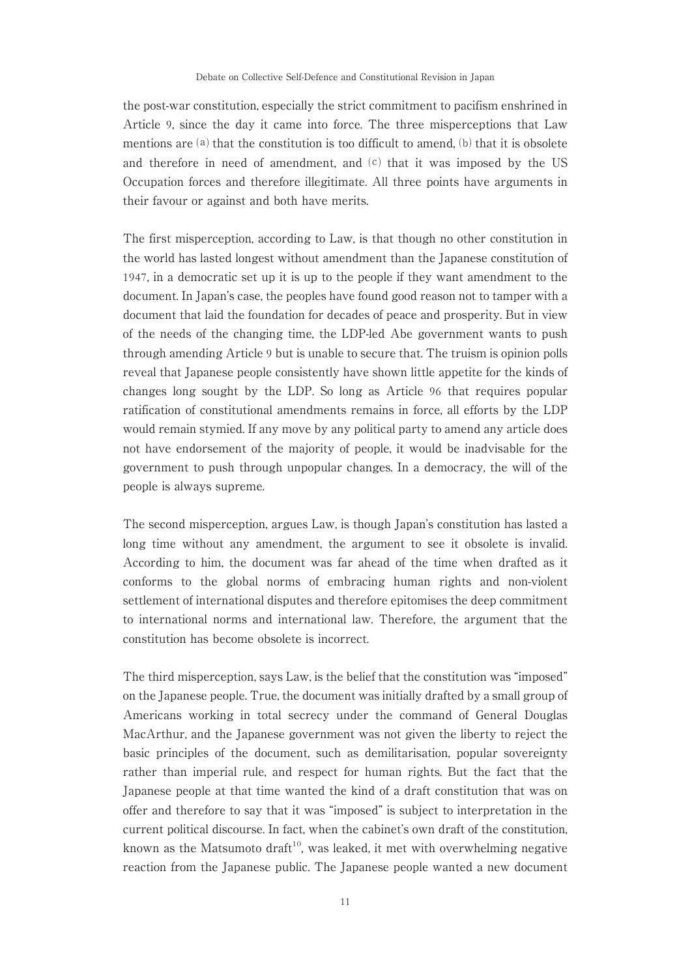the post-war constitution, especially the strict commitment to pacifism enshrined in Article 9, since the day it came into force. The three misperceptions that Law mentions are  $(a)$  that the constitution is too difficult to amend,  $(b)$  that it is obsolete and therefore in need of amendment, and  $(c)$  that it was imposed by the US Occupation forces and therefore illegitimate. All three points have arguments in their favour or against and both have merits.

The first misperception, according to Law, is that though no other constitution in the world has lasted longest without amendment than the Japanese constitution of 1947, in a democratic set up it is up to the people if they want amendment to the document. In Japan's case, the peoples have found good reason not to tamper with a document that laid the foundation for decades of peace and prosperity. But in view of the needs of the changing time, the LDP-led Abe government wants to push through amending Article 9 but is unable to secure that. The truism is opinion polls reveal that Japanese people consistently have shown little appetite for the kinds of changes long sought by the LDP. So long as Article 96 that requires popular ratification of constitutional amendments remains in force, all efforts by the LDP would remain stymied. If any move by any political party to amend any article does not have endorsement of the majority of people, it would be inadvisable for the government to push through unpopular changes. In a democracy, the will of the people is always supreme.

The second misperception, argues Law, is though Japan's constitution has lasted a long time without any amendment, the argument to see it obsolete is invalid. According to him, the document was far ahead of the time when drafted as it conforms to the global norms of embracing human rights and non-violent settlement of international disputes and therefore epitomises the deep commitment to international norms and international law. Therefore, the argument that the constitution has become obsolete is incorrect.

The third misperception, says Law, is the belief that the constitution was "imposed" on the Japanese people. True, the document was initially drafted by a small group of Americans working in total secrecy under the command of General Douglas MacArthur, and the Japanese government was not given the liberty to reject the basic principles of the document, such as demilitarisation, popular sovereignty rather than imperial rule, and respect for human rights. But the fact that the Japanese people at that time wanted the kind of a draft constitution that was on offer and therefore to say that it was "imposed" is subject to interpretation in the current political discourse. In fact, when the cabinet's own draft of the constitution, known as the Matsumoto draft<sup>10</sup>, was leaked, it met with overwhelming negative reaction from the Japanese public. The Japanese people wanted a new document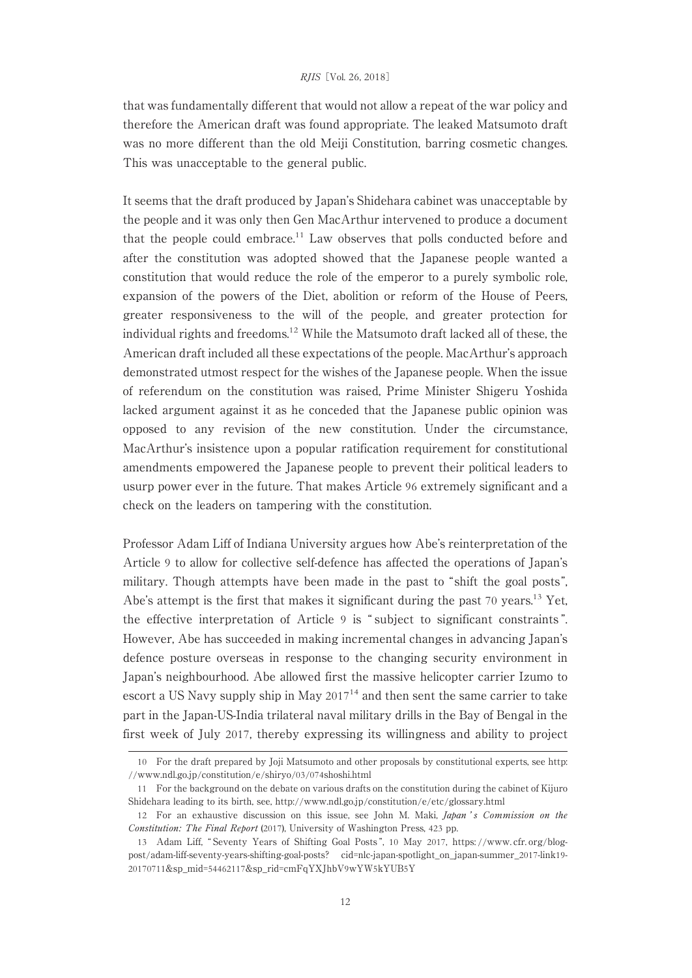that was fundamentally different that would not allow a repeat of the war policy and therefore the American draft was found appropriate. The leaked Matsumoto draft was no more different than the old Meiji Constitution, barring cosmetic changes. This was unacceptable to the general public.

It seems that the draft produced by Japan's Shidehara cabinet was unacceptable by the people and it was only then Gen MacArthur intervened to produce a document that the people could embrace.<sup>11</sup> Law observes that polls conducted before and after the constitution was adopted showed that the Japanese people wanted a constitution that would reduce the role of the emperor to a purely symbolic role, expansion of the powers of the Diet, abolition or reform of the House of Peers, greater responsiveness to the will of the people, and greater protection for individual rights and freedoms.<sup>12</sup> While the Matsumoto draft lacked all of these, the American draft included all these expectations of the people. MacArthur's approach demonstrated utmost respect for the wishes of the Japanese people. When the issue of referendum on the constitution was raised, Prime Minister Shigeru Yoshida lacked argument against it as he conceded that the Japanese public opinion was opposed to any revision of the new constitution. Under the circumstance, MacArthur's insistence upon a popular ratification requirement for constitutional amendments empowered the Japanese people to prevent their political leaders to usurp power ever in the future. That makes Article 96 extremely significant and a check on the leaders on tampering with the constitution.

Professor Adam Liff of Indiana University argues how Abe's reinterpretation of the Article 9 to allow for collective self-defence has affected the operations of Japan's military. Though attempts have been made in the past to "shift the goal posts", Abe's attempt is the first that makes it significant during the past 70 years.<sup>13</sup> Yet, the effective interpretation of Article 9 is " subject to significant constraints ". However, Abe has succeeded in making incremental changes in advancing Japan's defence posture overseas in response to the changing security environment in Japan's neighbourhood. Abe allowed first the massive helicopter carrier Izumo to escort a US Navy supply ship in May  $2017<sup>14</sup>$  and then sent the same carrier to take part in the Japan-US-India trilateral naval military drills in the Bay of Bengal in the first week of July 2017, thereby expressing its willingness and ability to project

<sup>10</sup> For the draft prepared by Joji Matsumoto and other proposals by constitutional experts, see http: //www.ndl.go.jp/constitution/e/shiryo/03/074shoshi.html

<sup>11</sup> For the background on the debate on various drafts on the constitution during the cabinet of Kijuro Shidehara leading to its birth, see, http://www.ndl.go.jp/constitution/e/etc/glossary.html

<sup>12</sup> For an exhaustive discussion on this issue, see John M. Maki, Japan's Commission on the Constitution: The Final Report (2017), University of Washington Press, 423 pp.

<sup>13</sup> Adam Liff, " Seventy Years of Shifting Goal Posts ", 10 May 2017, https: //www. cfr. org/blogpost/adam-liff-seventy-years-shifting-goal-posts? cid=nlc-japan-spotlight\_on\_japan-summer\_2017-link19- 20170711&sp\_mid=54462117&sp\_rid=cmFqYXJhbV9wYW5kYUB5Y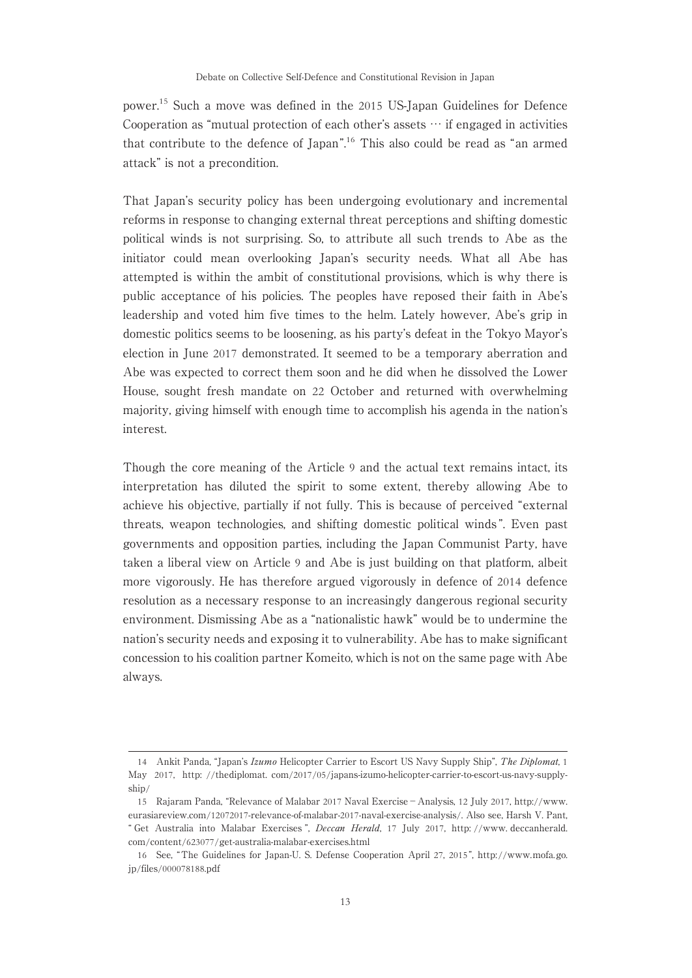power.<sup>15</sup> Such a move was defined in the 2015 US-Japan Guidelines for Defence Cooperation as "mutual protection of each other's assets … if engaged in activities that contribute to the defence of Japan".<sup>16</sup> This also could be read as "an armed attack" is not a precondition.

That Japan's security policy has been undergoing evolutionary and incremental reforms in response to changing external threat perceptions and shifting domestic political winds is not surprising. So, to attribute all such trends to Abe as the initiator could mean overlooking Japan's security needs. What all Abe has attempted is within the ambit of constitutional provisions, which is why there is public acceptance of his policies. The peoples have reposed their faith in Abe's leadership and voted him five times to the helm. Lately however, Abe's grip in domestic politics seems to be loosening, as his party's defeat in the Tokyo Mayor's election in June 2017 demonstrated. It seemed to be a temporary aberration and Abe was expected to correct them soon and he did when he dissolved the Lower House, sought fresh mandate on 22 October and returned with overwhelming majority, giving himself with enough time to accomplish his agenda in the nation's interest.

Though the core meaning of the Article 9 and the actual text remains intact, its interpretation has diluted the spirit to some extent, thereby allowing Abe to achieve his objective, partially if not fully. This is because of perceived "external threats, weapon technologies, and shifting domestic political winds ". Even past governments and opposition parties, including the Japan Communist Party, have taken a liberal view on Article 9 and Abe is just building on that platform, albeit more vigorously. He has therefore argued vigorously in defence of 2014 defence resolution as a necessary response to an increasingly dangerous regional security environment. Dismissing Abe as a "nationalistic hawk" would be to undermine the nation's security needs and exposing it to vulnerability. Abe has to make significant concession to his coalition partner Komeito, which is not on the same page with Abe always.

<sup>14</sup> Ankit Panda, "Japan's Izumo Helicopter Carrier to Escort US Navy Supply Ship", The Diplomat, 1 May 2017, http: //thediplomat. com/2017/05/japans-izumo-helicopter-carrier-to-escort-us-navy-supplyship/

<sup>15</sup> Rajaram Panda, "Relevance of Malabar 2017 Naval Exercise−Analysis, 12 July 2017, http://www. eurasiareview.com/12072017-relevance-of-malabar-2017-naval-exercise-analysis/. Also see, Harsh V. Pant, " Get Australia into Malabar Exercises ", Deccan Herald, 17 July 2017, http: //www. deccanherald. com/content/623077/get-australia-malabar-exercises.html

<sup>16</sup> See, "The Guidelines for Japan-U. S. Defense Cooperation April 27, 2015 ", http://www.mofa.go. jp/files/000078188.pdf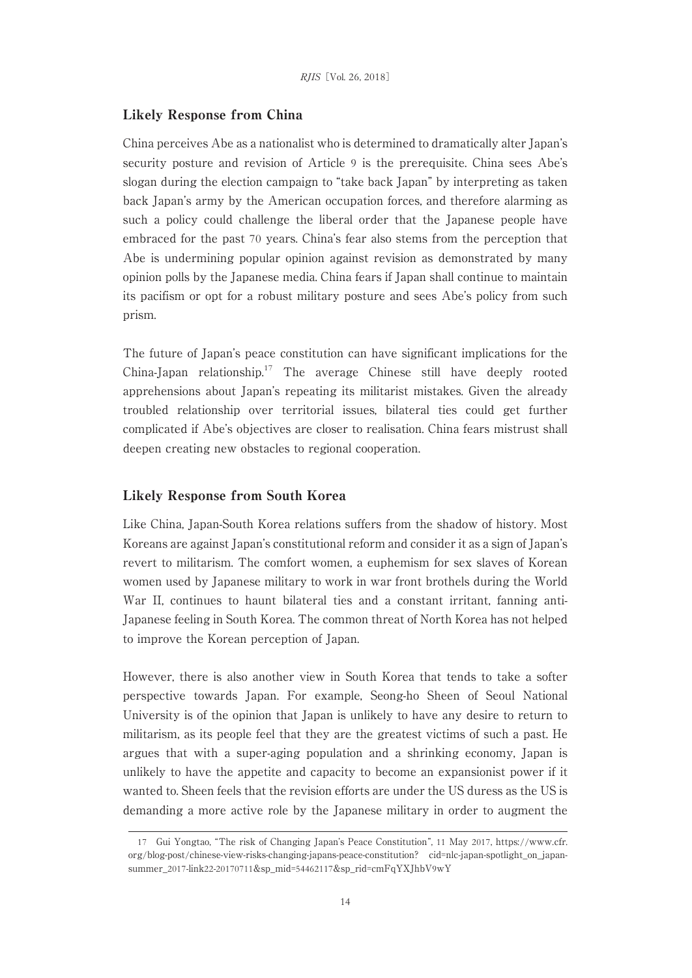#### Likely Response from China

China perceives Abe as a nationalist who is determined to dramatically alter Japan's security posture and revision of Article 9 is the prerequisite. China sees Abe's slogan during the election campaign to "take back Japan" by interpreting as taken back Japan's army by the American occupation forces, and therefore alarming as such a policy could challenge the liberal order that the Japanese people have embraced for the past 70 years. China's fear also stems from the perception that Abe is undermining popular opinion against revision as demonstrated by many opinion polls by the Japanese media. China fears if Japan shall continue to maintain its pacifism or opt for a robust military posture and sees Abe's policy from such prism.

The future of Japan's peace constitution can have significant implications for the China-Japan relationship.<sup>17</sup> The average Chinese still have deeply rooted apprehensions about Japan's repeating its militarist mistakes. Given the already troubled relationship over territorial issues, bilateral ties could get further complicated if Abe's objectives are closer to realisation. China fears mistrust shall deepen creating new obstacles to regional cooperation.

#### Likely Response from South Korea

Like China, Japan-South Korea relations suffers from the shadow of history. Most Koreans are against Japan's constitutional reform and consider it as a sign of Japan's revert to militarism. The comfort women, a euphemism for sex slaves of Korean women used by Japanese military to work in war front brothels during the World War II, continues to haunt bilateral ties and a constant irritant, fanning anti-Japanese feeling in South Korea. The common threat of North Korea has not helped to improve the Korean perception of Japan.

However, there is also another view in South Korea that tends to take a softer perspective towards Japan. For example, Seong-ho Sheen of Seoul National University is of the opinion that Japan is unlikely to have any desire to return to militarism, as its people feel that they are the greatest victims of such a past. He argues that with a super-aging population and a shrinking economy, Japan is unlikely to have the appetite and capacity to become an expansionist power if it wanted to. Sheen feels that the revision efforts are under the US duress as the US is demanding a more active role by the Japanese military in order to augment the

<sup>17</sup> Gui Yongtao, "The risk of Changing Japan's Peace Constitution", 11 May 2017, https://www.cfr. org/blog-post/chinese-view-risks-changing-japans-peace-constitution? cid=nlc-japan-spotlight\_on\_japansummer\_2017-link22-20170711&sp\_mid=54462117&sp\_rid=cmFqYXJhbV9wY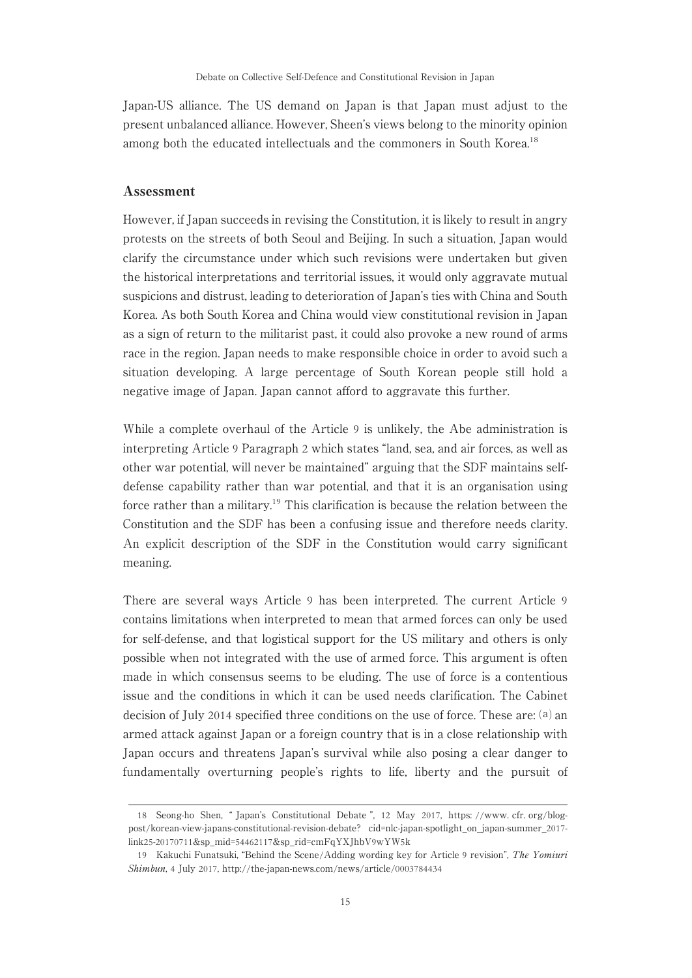Japan-US alliance. The US demand on Japan is that Japan must adjust to the present unbalanced alliance. However, Sheen's views belong to the minority opinion among both the educated intellectuals and the commoners in South Korea.<sup>18</sup>

#### Assessment

However, if Japan succeeds in revising the Constitution, it is likely to result in angry protests on the streets of both Seoul and Beijing. In such a situation, Japan would clarify the circumstance under which such revisions were undertaken but given the historical interpretations and territorial issues, it would only aggravate mutual suspicions and distrust, leading to deterioration of Japan's ties with China and South Korea. As both South Korea and China would view constitutional revision in Japan as a sign of return to the militarist past, it could also provoke a new round of arms race in the region. Japan needs to make responsible choice in order to avoid such a situation developing. Alarge percentage of South Korean people still hold a negative image of Japan. Japan cannot afford to aggravate this further.

While a complete overhaul of the Article 9 is unlikely, the Abe administration is interpreting Article 9 Paragraph 2 which states "land, sea, and air forces, as well as other war potential, will never be maintained" arguing that the SDF maintains selfdefense capability rather than war potential, and that it is an organisation using force rather than a military.<sup>19</sup> This clarification is because the relation between the Constitution and the SDF has been a confusing issue and therefore needs clarity. An explicit description of the SDF in the Constitution would carry significant meaning.

There are several ways Article 9 has been interpreted. The current Article 9 contains limitations when interpreted to mean that armed forces can only be used for self-defense, and that logistical support for the US military and others is only possible when not integrated with the use of armed force. This argument is often made in which consensus seems to be eluding. The use of force is a contentious issue and the conditions in which it can be used needs clarification. The Cabinet decision of July 2014 specified three conditions on the use of force. These are:  $(a)$  an armed attack against Japan or a foreign country that is in a close relationship with Japan occurs and threatens Japan's survival while also posing a clear danger to fundamentally overturning people's rights to life, liberty and the pursuit of

<sup>18</sup> Seong-ho Shen, " Japan's Constitutional Debate ", 12 May 2017, https: //www. cfr. org/blogpost/korean-view-japans-constitutional-revision-debate? cid=nlc-japan-spotlight\_on\_japan-summer\_2017 link25-20170711&sp\_mid=54462117&sp\_rid=cmFqYXJhbV9wYW5k

<sup>19</sup> Kakuchi Funatsuki, "Behind the Scene/Adding wording key for Article 9 revision", The Yomiuri Shimbun, 4 July 2017, http://the-japan-news.com/news/article/0003784434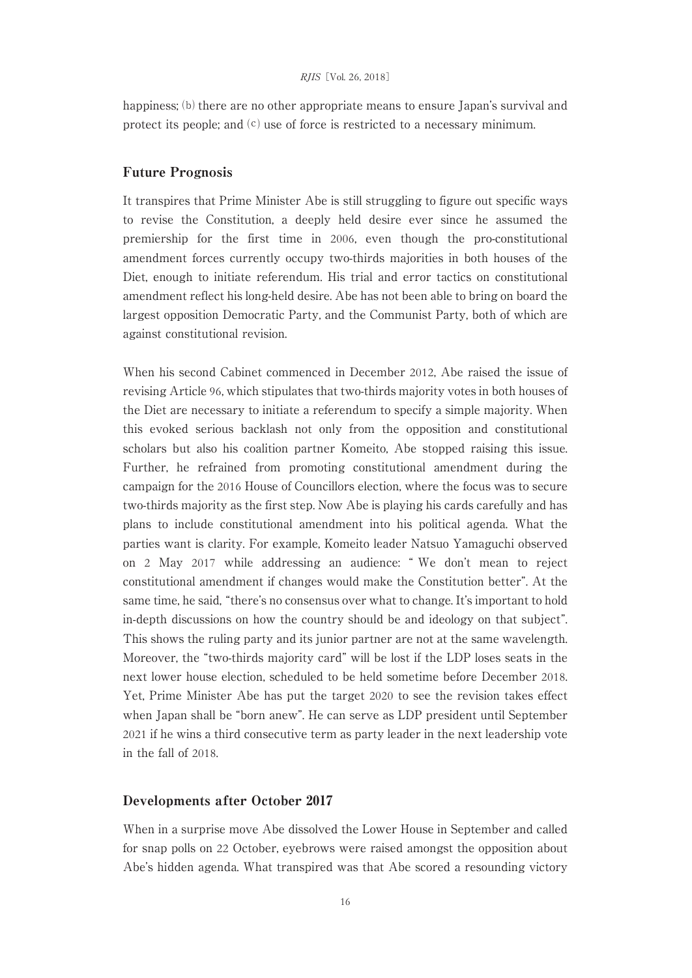happiness;  $(b)$  there are no other appropriate means to ensure Japan's survival and protect its people; and  $(c)$  use of force is restricted to a necessary minimum.

#### Future Prognosis

It transpires that Prime Minister Abe is still struggling to figure out specific ways to revise the Constitution, a deeply held desire ever since he assumed the premiership for the first time in 2006, even though the pro-constitutional amendment forces currently occupy two-thirds majorities in both houses of the Diet, enough to initiate referendum. His trial and error tactics on constitutional amendment reflect his long-held desire. Abe has not been able to bring on board the largest opposition Democratic Party, and the Communist Party, both of which are against constitutional revision.

When his second Cabinet commenced in December 2012, Abe raised the issue of revising Article 96, which stipulates that two-thirds majority votes in both houses of the Diet are necessary to initiate a referendum to specify a simple majority. When this evoked serious backlash not only from the opposition and constitutional scholars but also his coalition partner Komeito, Abe stopped raising this issue. Further, he refrained from promoting constitutional amendment during the campaign for the 2016 House of Councillors election, where the focus was to secure two-thirds majority as the first step. Now Abe is playing his cards carefully and has plans to include constitutional amendment into his political agenda. What the parties want is clarity. For example, Komeito leader Natsuo Yamaguchi observed on 2 May 2017 while addressing an audience: " We don't mean to reject constitutional amendment if changes would make the Constitution better". At the same time, he said, "there's no consensus over what to change. It's important to hold in-depth discussions on how the country should be and ideology on that subject". This shows the ruling party and its junior partner are not at the same wavelength. Moreover, the "two-thirds majority card" will be lost if the LDP loses seats in the next lower house election, scheduled to be held sometime before December 2018. Yet, Prime Minister Abe has put the target 2020 to see the revision takes effect when Japan shall be "born anew". He can serve as LDP president until September 2021 if he wins a third consecutive term as party leader in the next leadership vote in the fall of 2018.

## Developments after October 2017

When in a surprise move Abe dissolved the Lower House in September and called for snap polls on 22 October, eyebrows were raised amongst the opposition about Abe's hidden agenda. What transpired was that Abe scored a resounding victory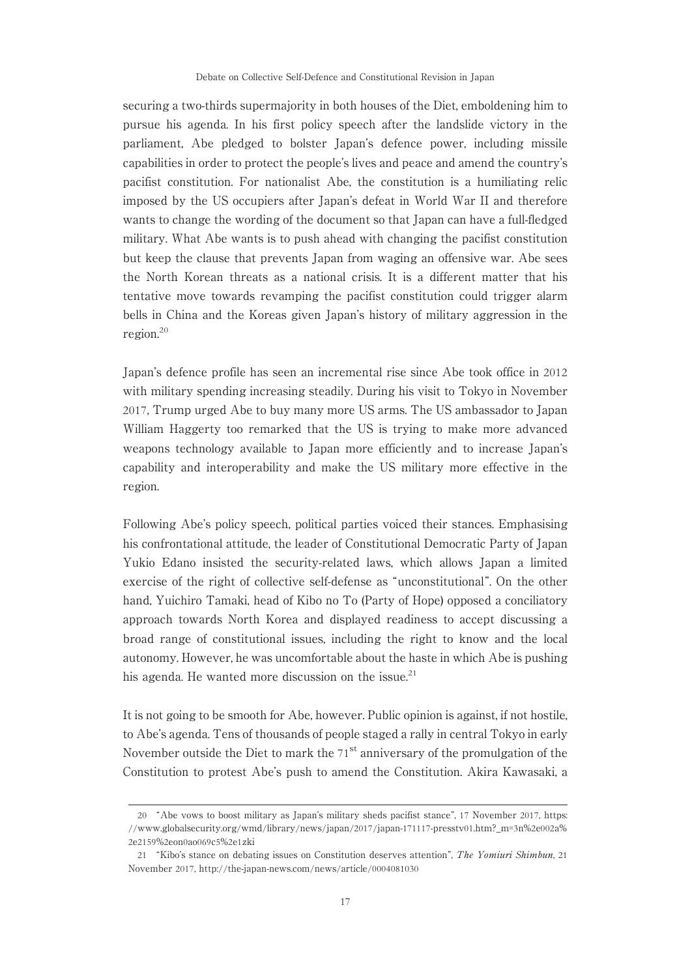securing a two-thirds supermajority in both houses of the Diet, emboldening him to pursue his agenda. In his first policy speech after the landslide victory in the parliament, Abe pledged to bolster Japan's defence power, including missile capabilities in order to protect the people's lives and peace and amend the country's pacifist constitution. For nationalist Abe, the constitution is a humiliating relic imposed by the US occupiers after Japan's defeat in World War II and therefore wants to change the wording of the document so that Japan can have a full-fledged military. What Abe wants is to push ahead with changing the pacifist constitution but keep the clause that prevents Japan from waging an offensive war. Abe sees the North Korean threats as a national crisis. It is a different matter that his tentative move towards revamping the pacifist constitution could trigger alarm bells in China and the Koreas given Japan's history of military aggression in the region.<sup>20</sup>

Japan's defence profile has seen an incremental rise since Abe took office in 2012 with military spending increasing steadily. During his visit to Tokyo in November 2017, Trump urged Abe to buy many more US arms. The US ambassador to Japan William Haggerty too remarked that the US is trying to make more advanced weapons technology available to Japan more efficiently and to increase Japan's capability and interoperability and make the US military more effective in the region.

Following Abe's policy speech, political parties voiced their stances. Emphasising his confrontational attitude, the leader of Constitutional Democratic Party of Japan Yukio Edano insisted the security-related laws, which allows Japan a limited exercise of the right of collective self-defense as "unconstitutional". On the other hand, Yuichiro Tamaki, head of Kibo no To (Party of Hope) opposed a conciliatory approach towards North Korea and displayed readiness to accept discussing a broad range of constitutional issues, including the right to know and the local autonomy. However, he was uncomfortable about the haste in which Abe is pushing his agenda. He wanted more discussion on the issue.<sup>21</sup>

It is not going to be smooth for Abe, however. Public opinion is against, if not hostile, to Abe's agenda. Tens of thousands of people staged a rally in central Tokyo in early November outside the Diet to mark the  $71<sup>st</sup>$  anniversary of the promulgation of the Constitution to protest Abe's push to amend the Constitution. Akira Kawasaki, a

<sup>20</sup> "Abe vows to boost military as Japan's military sheds pacifist stance", 17 November 2017, https: //www.globalsecurity.org/wmd/library/news/japan/2017/japan-171117-presstv01.htm?\_m=3n%2e002a% 2e2159%2eon0ao069c5%2e1zki

<sup>21</sup> "Kibo's stance on debating issues on Constitution deserves attention", The Yomiuri Shimbun, 21 November 2017, http://the-japan-news.com/news/article/0004081030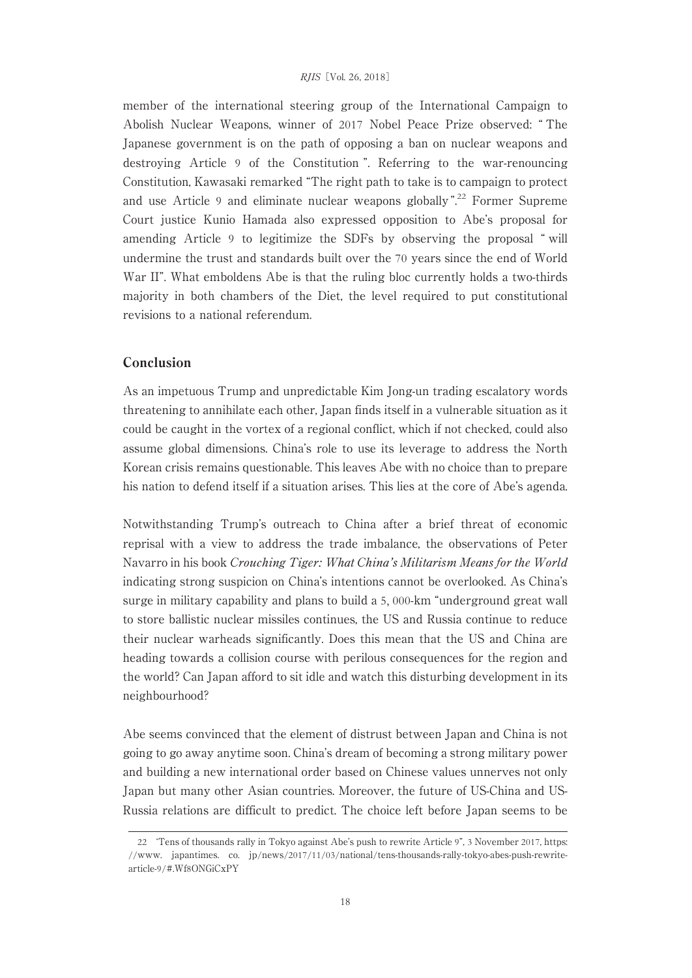member of the international steering group of the International Campaign to Abolish Nuclear Weapons, winner of 2017 Nobel Peace Prize observed: " The Japanese government is on the path of opposing a ban on nuclear weapons and destroying Article 9 of the Constitution ". Referring to the war-renouncing Constitution, Kawasaki remarked "The right path to take is to campaign to protect and use Article 9 and eliminate nuclear weapons globally ".<sup>22</sup> Former Supreme Court justice Kunio Hamada also expressed opposition to Abe's proposal for amending Article 9 to legitimize the SDFs by observing the proposal " will undermine the trust and standards built over the 70 years since the end of World War II". What emboldens Abe is that the ruling bloc currently holds a two-thirds majority in both chambers of the Diet, the level required to put constitutional revisions to a national referendum.

# Conclusion

As an impetuous Trump and unpredictable Kim Jong-un trading escalatory words threatening to annihilate each other, Japan finds itself in a vulnerable situation as it could be caught in the vortex of a regional conflict, which if not checked, could also assume global dimensions. China's role to use its leverage to address the North Korean crisis remains questionable. This leaves Abe with no choice than to prepare his nation to defend itself if a situation arises. This lies at the core of Abe's agenda.

Notwithstanding Trump's outreach to China after a brief threat of economic reprisal with a view to address the trade imbalance, the observations of Peter Navarro in his book Crouching Tiger: What China's Militarism Means for the World indicating strong suspicion on China's intentions cannot be overlooked. As China's surge in military capability and plans to build a 5, 000-km "underground great wall to store ballistic nuclear missiles continues, the US and Russia continue to reduce their nuclear warheads significantly. Does this mean that the US and China are heading towards a collision course with perilous consequences for the region and the world? Can Japan afford to sit idle and watch this disturbing development in its neighbourhood?

Abe seems convinced that the element of distrust between Japan and China is not going to go away anytime soon. China's dream of becoming a strong military power and building a new international order based on Chinese values unnerves not only Japan but many other Asian countries. Moreover, the future of US-China and US-Russia relations are difficult to predict. The choice left before Japan seems to be

<sup>22</sup> ʻTens of thousands rally in Tokyo against Abe's push to rewrite Article 9", 3 November 2017, https: //www. japantimes. co. jp/news/2017/11/03/national/tens-thousands-rally-tokyo-abes-push-rewritearticle-9/#.Wf8ONGiCxPY